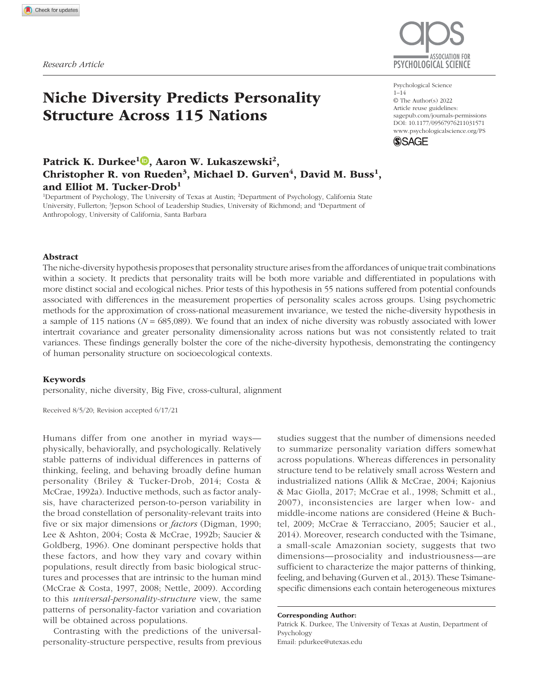# Niche Diversity Predicts Personality Structure Across 115 Nations



Psychological Science  $1 - 14$ © The Author(s) 2022 Article reuse guidelines: sagepub.com/journals-permissions https://doi.org/10.1177/09567976211031571 DOI: 10.1177/09567976211031571 www.psychologicalscience.org/PS **SSAGE** 

# Patrick K. Durkee<sup>1</sup>®, Aaron W. Lukaszewski<sup>2</sup>, Christopher R. von Rueden<sup>3</sup>, Michael D. Gurven<sup>4</sup>, David M. Buss<sup>1</sup>, and Elliot M. Tucker-Drob<sup>1</sup>

<sup>1</sup>Department of Psychology, The University of Texas at Austin; <sup>2</sup>Department of Psychology, California State University, Fullerton; <sup>3</sup>Jepson School of Leadership Studies, University of Richmond; and <sup>4</sup>Department of Anthropology, University of California, Santa Barbara

#### Abstract

The niche-diversity hypothesis proposes that personality structure arises from the affordances of unique trait combinations within a society. It predicts that personality traits will be both more variable and differentiated in populations with more distinct social and ecological niches. Prior tests of this hypothesis in 55 nations suffered from potential confounds associated with differences in the measurement properties of personality scales across groups. Using psychometric methods for the approximation of cross-national measurement invariance, we tested the niche-diversity hypothesis in a sample of 115 nations (*N* = 685,089). We found that an index of niche diversity was robustly associated with lower intertrait covariance and greater personality dimensionality across nations but was not consistently related to trait variances. These findings generally bolster the core of the niche-diversity hypothesis, demonstrating the contingency of human personality structure on socioecological contexts.

#### Keywords

personality, niche diversity, Big Five, cross-cultural, alignment

Received 8/5/20; Revision accepted 6/17/21

Humans differ from one another in myriad ways physically, behaviorally, and psychologically. Relatively stable patterns of individual differences in patterns of thinking, feeling, and behaving broadly define human personality (Briley & Tucker-Drob, 2014; Costa & McCrae, 1992a). Inductive methods, such as factor analysis, have characterized person-to-person variability in the broad constellation of personality-relevant traits into five or six major dimensions or *factors* (Digman, 1990; Lee & Ashton, 2004; Costa & McCrae, 1992b; Saucier & Goldberg, 1996). One dominant perspective holds that these factors, and how they vary and covary within populations, result directly from basic biological structures and processes that are intrinsic to the human mind (McCrae & Costa, 1997, 2008; Nettle, 2009). According to this *universal-personality-structure* view, the same patterns of personality-factor variation and covariation will be obtained across populations.

Contrasting with the predictions of the universalpersonality-structure perspective, results from previous studies suggest that the number of dimensions needed to summarize personality variation differs somewhat across populations. Whereas differences in personality structure tend to be relatively small across Western and industrialized nations (Allik & McCrae, 2004; Kajonius & Mac Giolla, 2017; McCrae et al., 1998; Schmitt et al., 2007), inconsistencies are larger when low- and middle-income nations are considered (Heine & Buchtel, 2009; McCrae & Terracciano, 2005; Saucier et al., 2014). Moreover, research conducted with the Tsimane, a small-scale Amazonian society, suggests that two dimensions—prosociality and industriousness—are sufficient to characterize the major patterns of thinking, feeling, and behaving (Gurven et al., 2013). These Tsimanespecific dimensions each contain heterogeneous mixtures

#### Corresponding Author:

Patrick K. Durkee, The University of Texas at Austin, Department of Psychology

Email: pdurkee@utexas.edu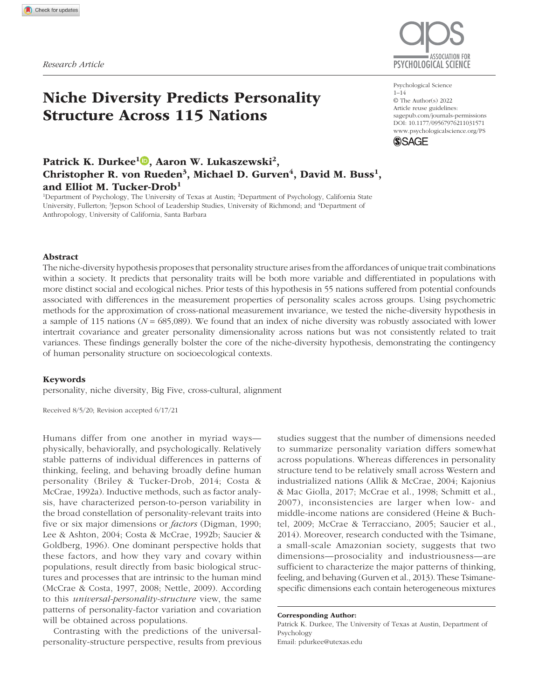of items from the traditional five-factor traits (Gurven et al., 2013), making them qualitatively distinct from other two-factor models observed in industrialized societies (e.g., Digman, 1997).

Differences in personality structure between populations have been presumed by some researchers to stem from measurement artifacts, such as differences in translations or item functioning (Heine & Buchtel, 2009; McCrae & Terracciano, 2005). However, when such artifacts are controlled for, between-population differences in personality structure may also persist because of substantive differences in social and cultural dynamics underlying personality development (Briley & Tucker-Drob, 2017). The niche-diversity hypothesis (Lukaszewski et al., 2017; Smaldino et al., 2019) provides one framework for testing such an account.

The niche-diversity hypothesis holds that within human populations, individuals occupy different niches: micropopulations within a larger population with different affordances and cost–benefit structures (e.g., organizations, occupations, social and cultural groups, coalitions, families). For example, in human societies, some niches may favor high levels of patience and industriousness with low levels of anxiety but not specific levels of imaginativeness. Other niches may favor high levels of sociability and risk tolerance without specifically favoring any level of honesty. And some may not incentivize any particular levels or combinations of traits.

In general, humans tailor behavioral traits to the demands of local socioecological niches (Briley & Tucker-Drob, 2017; Henrich, 2015; Kaplan et al., 2009; Pinker, 2010; Tooby & DeVore, 1987). The developmental calibration of behavioral profiles may occur through a mixture of social learning (Legare, 2017) and statebehavior feedback loops (Sih et al., 2015). Consistent with the functionality of niche-behavior compatibility, research has shown that people whose multidimensional personality profiles are a better match with the demands of their niche experience higher material payoffs over time (Denissen et al., 2018).

The number of unique, specialized niches varies widely across human populations. In large complex societies, individuals can occupy an assortment of different niches—each incentivizing different optimum levels of personality traits. In smaller-scale societies, the number and diversity of niches that are available to be occupied—and the trait levels and combinations required for success within them—tend to be more delimited (Gurven et al., 2013). Thus, the number of niche-incentivized trait profiles is predicted to be greater in some human populations than others (Lukaszewski et al., 2017). Compared with populations with fewer unique niches, populations with more

# Statement of Relevance

Prominent models of personality structure posit that the patterning of thoughts, feelings, and behaviors is universal across human populations, resulting from innate dispositions that reliably create variation along five relatively distinct dimensions. But empirical work shows that there is much variation in personality structure across populations. What accounts for this variation? Recent theoretical developments suggest that personality structure can differ as a function of the number of micropopulations that incentivize different traits within a population (i.e., niches). Specifically, places with a greater number of diverse niches (e.g., workplaces, social groups) will exhibit less overlap in patterns of thoughts, feelings, and behaviors at the population level, producing more dimensions of personality than places with less niche diversity. We found support for this hypothesis using data from more than 680,000 people across 115 countries. These findings suggest that variation in the structure of personality is partially contingent on socioecological factors.

unique niches are hypothesized to exhibit (a) more distinct combinations of traits (i.e., less covariance among traits; Lukaszewski et al., 2017), (b) wider distributions of trait levels (i.e., more individual variation in each trait; Smaldino et al., 2019), and (c) more emergent dimensions of personality (Smaldino et al., 2019). Using agent-based models, Smaldino et al. confirmed that these predicted associations are obtained under conditions in which (a) populations differ in niche diversity and (b) individuals adapt trait levels on the basis of the niches that they occupy.

To date, only one data set of 55 nations (Schmitt et al., 2007) has been used to empirically test predictions from the niche-diversity hypothesis. In this sample, Lukaszewski et al. (2017) found a moderate negative association between nation-level intercorrelations among Big Five traits and a proxy of nation-level niche diversity based on three indices: the Human Development Index (HDI), the percentage of people living in cities (i.e., urbanization), and the variety of products produced within a nation (i.e., sectoral diversity). Using the same 55-nation sample and niche-diversity proxy, Smaldino et al. (2019) found that Big Five trait variance was moderately positively associated with niche diversity. Finally, Del Giudice (2021) applied dimensionality-reduction methods to the Big Five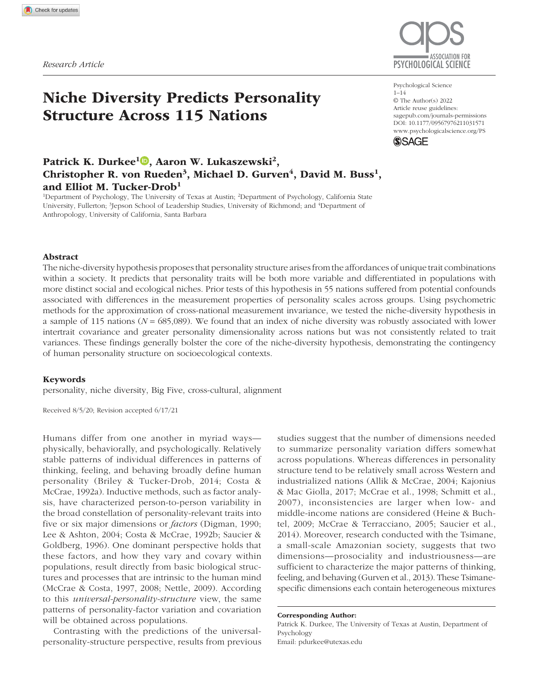covariance estimates provided by Lukaszewski et al. (2017) for the 55 nations and found that niche diversity was positively associated with the number of emergent personality dimensions. These findings provide initial support for the niche-diversity hypothesis of personality structure.

Although prior studies implemented controls to assess artifacts of translations and general response tendencies (i.e., acquiescence bias), none have yet implemented methods to guard against the potential for the focal associations to arise from systematic differences in how the items within personality measures function across populations. The differential functioning of items across populations due to measurement nonequivalence can bias estimates of factor means, covariances, and variances (Byrne et al., 1989; Church et al., 2011). Thus, previous investigations of the association between niche diversity and personality structure derived from factor-score composites are potentially misleading.

Here, we present a stronger test of the niche-diversity hypothesis by drawing on new large-scale personality data from 115 nations and factor-analytic methods that approximate measurement invariance for a more valid comparison of personality structure across nations. We tested three focal predictions formalized by Smaldino et al. (2019): Niche diversity is (a) negatively associated with nation-level covariation among personality factors, (b) positively associated with nation-level variance across personality factors, and (c) positively associated with the number of nation-level personality dimensions.

## Method

# Participants

We drew personality data on 1,015,341 participants from the Open-Source Psychometrics Project (https:// openpsychometrics.org/). The data sets from this repository have been used in a variety of publications (e.g., Chen et al., 2020; Hirschfeld et al., 2014; Kaiser et al., 2020). The data set contains responses to personality items along with Internet protocol (IP) addresses and country of residence; no information on participant sex or other demographics is available. Individuals accessed the survey through the Internet and received no compensation for participating. To minimize the potential for multiple instances from the same responders, we removed all participants with identical IP addresses. We also removed participants from nations with fewer than 90 participants. After these exclusions, our total sample size for analysis was 685,089 participants across 115 nations.

### **Measures**

Personality. Personality was measured using the 50-item International Personality Item Pool five-factor markers (IPIP-FFM-50; Goldberg, 1992), which has strong construct validity (Lim & Ployhart, 2006) and is generally invariant across gender and American ethnic groups (Ehrhart et al., 2008). Sample items include, "I am the life of the party" (Extraversion), "I am interested in people" (Agreeableness), "I am always prepared" (Conscientiousness), "I am relaxed most of the time" (Emotional Stability), and "I have a rich vocabulary" (Openness). Participants rated the extent to which they agreed that each of the 50 statements was true of themselves using a 5-point scale  $(1 =$ *disagree*, 5 = *agree*). All instructions and scale items were presented in English to all participants. In our Results section, we present sensitivity analyses to test the role of English proficiency.

Niche diversity. We used the same index of niche diversity as did Lukaszewski et al. (2017) and Smaldino et al. (2019). A nation's niche diversity is estimated as its score on the first principal component of three nation-level variables: sectoral diversity (i.e., the volume-weighted variety of a nation's exports), urbanization (i.e., percentage of the nation's population living in cities), and the HDI (i.e., a nation's average levels of education, gross domestic product, and life expectancy). Each of these three variables is a conceptually appropriate indicator of a nation's niche diversity, given their direct and indirect relationships to economic specialization and division of labor.

Sectoral diversity was supplied by Harvard University's Atlas of Economic Complexity and is widely employed in macroeconomic modeling of country-level productivity and economic growth (https://atlas.cid .harvard.edu; Hausmann et al., 2014). A nation's sectoraldiversity score is based on a volume-weighted estimate of its variety of exports—that is, how many different types of products a nation is able to produce (see Hausmann et al., 2014; Hidalgo & Hausmann, 2009). Diversity in exports by necessity requires specialization across firms producing goods for export. Sectoraldiversity scores therefore reflect division of labor, and thus economic-niche diversification, at the country level.

Urbanization and HDI variables were supplied by the United Nations. Urbanization is the percentage of the nation's population living in urban (vs. rural) areas (United Nations Development Programme, 2020b). The HDI is a nation's average levels of education, gross domestic product per capita, and life expectancy (United Nations Development Programme, 2020a). Urbanization and HDI reflect a nation's niche diversity given (a) reciprocal relationships between the division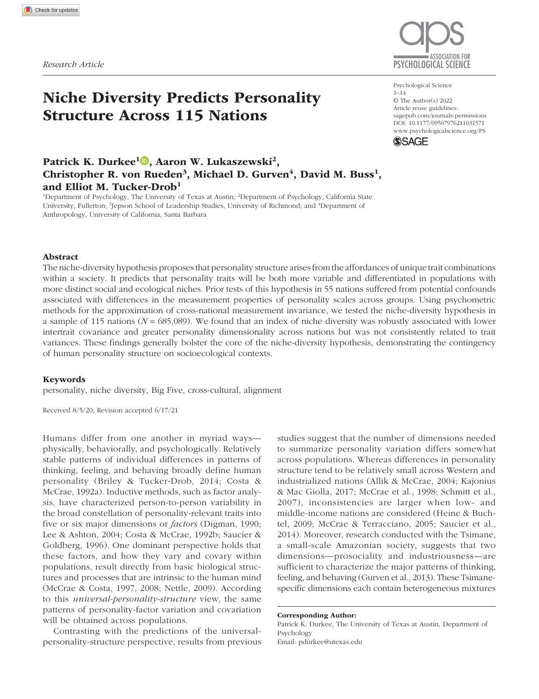

Fig. 1. Map highlighting the nations and geographic regions represented by the personality data used in the current study. The centroid size represents the relative sample size for each nation; nations with smaller points contributed fewer participants. The hue and luminance of each centroid depict that nation's standing on the niche-diversity index; nations with lower scores on the niche-diversity index are lighter, and those with higher scores are darker.

of labor and the degree of urbanization at the national level (Gibbs & Martin, 1962) and (b) the interrelated effects of the division of labor and urbanization on a nation's per-capita income and wealth. Division of labor and urbanization affect innovation and market productivity and efficiency (e.g., Henrich & Boyd, 2008; Rodriguez-Clare, 1996), which tends to fuel rising average incomes and standards of living (Hausmann et al., 2014; Hidalgo & Hausmann, 2009).

Of course, sectoral diversity, urbanization, and HDI are neither direct nor perfect measures of niche diversity. Each of these components of our niche-diversity composite potentially contains variance independent of niche diversity proper that can potentially drive any associations we find; however, they each also tap different conceptual aspects of niche diversity proper and contain nonoverlapping sources of confounding variance. Importantly, we conducted supplemental analyses to examine the focal relationships using each separate component of the niche-diversity index (see Section 3.1 in the supplementary materials at https://osf.io/7n4sr/), which showed the same pattern of results reported below.

For use in analyses, we pulled estimates of sectoral diversity, urbanization, and HDI for the year 2015, which is the year before the Open-Source Psychometrics Project began collecting personality data. Because data were missing on one or more of these indices for several nations, we conducted a principal component analysis that allows for missing data (Dray & Dufour, 2007). The first principal component of these three indicators explained 80% of the variance in the data, and loadings on this first principal component were strong for each indicator (HDI =  $.80$ , urbanization =  $.73$ , sectoral diversity = .82). Higher scores on this *z*-scaled index suggest a greater number of specialized niches, whereas lower scores suggest fewer specialized niches within a nation. Figure 1 shows each nation's estimated niche diversity in relation to its sample size.

# Analytic methods

We used a two-step analytic procedure. In the first step, we specified the five-factor structure with the IPIP-FFM-50 items modeled in the context of a multiplegroup model, using the alignment method to maximize approximate measurement invariance across groups (i.e., nations). The alignment allowed for meaningful comparison of latent-factor means, variances, and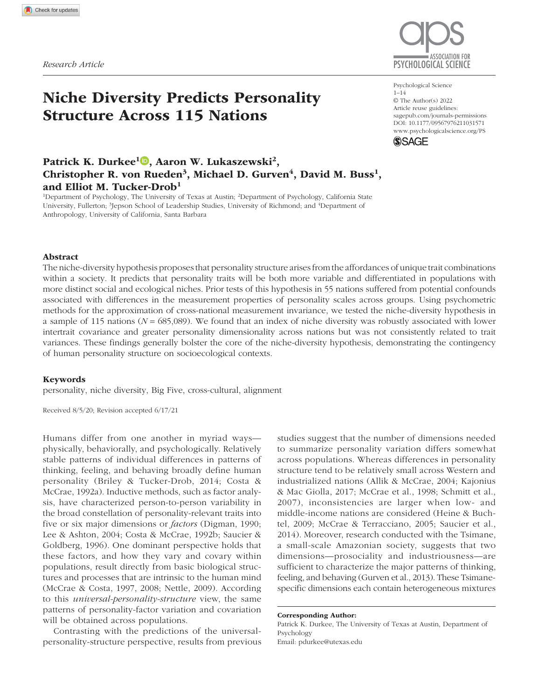covariances across groups without imposing untenable assumptions regarding strict equivalence of factor loadings and intercepts (Asparouhov & Muthén, 2014). In the second step, we used metaregression to examine the relationship of niche complexity to the covariance and variance parameter estimates extracted from the first step—and their associated standard errors—while controlling for several potential confounds. Details of each method are described in their respective sections below.

Multigroup alignment. Our research question required that we compare variances and covariances across nations. It is therefore necessary to address differences in how the personality items function across nations (Byrne et al., 1989; Church et al., 2011). We addressed measurement invariance using the alignment method (Asparouhov & Muthén, 2014). Assessments of measurement invariance become intractable with many groups (Marsh et al., 2018). Asparouhov and Muthén (2014) developed the multigroup-alignment method as an automated alternative that approximates measurement invariance, allowing for comparison of groups without requiring strict invariance across groups. The multigroup-alignment method uses a two-step procedure.

In the first step, the configural model is estimated on the basis of the researcher-specified factor structure in which all loadings and intercepts are freely estimated; factor variances are fixed to one and means to zero. Because the alignment method cannot handle crossloadings or be combined with exploratory structural equation modeling (ESEM) approaches, we assumed the simple Big Five factor structure with no cross-loadings. Typically, omitted cross-loadings will inform the factor covariance estimate, so the factor covariance estimates that we obtained should not be interpreted literally as differences in the relations between real dimensions of trait variation but, instead, as a more general indication that the constellation of items underlying each set of personality factors differ in their overall magnitude of association with one another. Considering that complex factor structures with many items—such as the IPIP-FFM-50 used here—are unlikely to meet common fit thresholds (cf. Marsh et al., 2010), the simple Big Five configural model exhibited reasonable fit in most nations (root mean square error of approximation [RMSEA]: *M* = .07, minimum = .05, maximum = .09; for full results of the confirmatory factor analysis for each nation, see Section 3.3 in the supplementary materials at https://osf .io/7n4sr/). To examine the degree to which deviations from the simple factor structure may influence our results, we present sensitivity analysis in nations with acceptable RMSEA values (i.e., < .08) in the Results section.

In the second step of the alignment procedure, all factor variances and means are iteratively estimated across groups using a loss-simplicity function that minimizes the noninvariance and provides the most invariant pattern across groups. This loss-simplicity function is analogous to different factor rotations in exploratory factor analysis in that the aligned model will have the same fit as the configural model. We used the fixed alignment method, which identifies group-factor means and variances in relation to a fixed group whose respective mean and variance remain fixed at zero and one. We opted to set the United States as the reference group to facilitate comparison with the broader literature, most of which is based on American participants.<sup>1</sup>

The approximation of measurement invariance provided by the multigroup alignment method is intended to provide more accurate comparison of covariances, variances, and means across groups (Asparouhov & Muthén, 2014). Our alignment results revealed generally poor invariance across nations (average invariance index  $=$  .33), which is itself consistent with the nichediversity model's prediction that personality-factor structure is not uniform across nations. Although this suggests that the alignment method is likely an imperfect solution to the problem of measurement invariance, it still represents an improvement over previous approaches using simple sum scores that do nothing to ameliorate measurement error and bias. Simulations demonstrate that the alignment method accurately recovers known population parameters even under conditions of substantial noninvariance across items, especially when sample sizes are large, as they generally are in the current sample (Asparouhov & Muthén, 2014).

Metaregression. The multigroup-alignment method does not currently offer support for estimating correlates of group-specific parameters, so examination of the focal associations between niche diversity and the covariance and variance estimates requires additional analytic steps. To examine the focal relationships of niche diversity to personality covariance and variance, we used the metaregression methods described by Tucker-Drob et al. (2019). We constructed separate models for each of the two focal meta-analytic outcomes: (a) nation-level interfactor covariance estimates and (b) nation-level intrafactor variance estimates. In the interfactor covariance models, the absolute values of each of the 10 parameter estimates for the pairwise covariances among Big Five factors across the 115 nations were modeled as the meta-analytic outcome. In the intrafactor variance models, the five parameter estimates for each of the Big Five factor variances across the 115 nations were modeled as the meta-analytic outcome. In all primary models, we clustered these parameter estimates by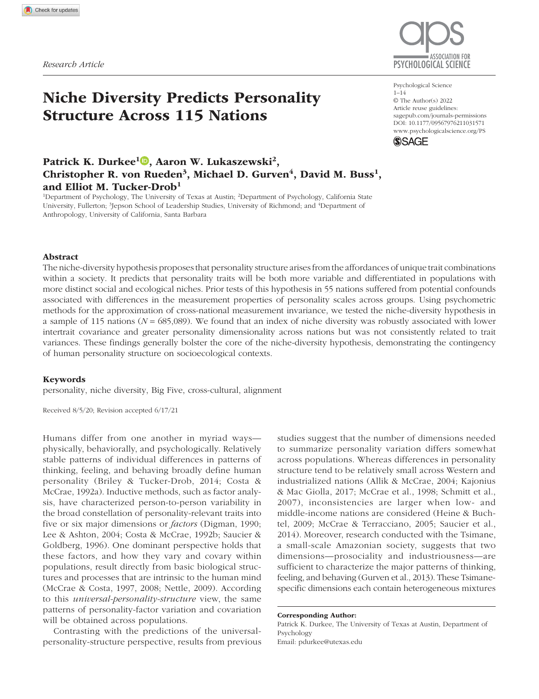nation. We also added precision weights proportional to the inverse-sampling variance of the parameter estimates, so that samples with more precise estimates were weighted more strongly in the metaregression analysis.

**Effective dimensionality.** To examine the focal relationship between niche diversity and the number of emergent personality dimensions in each nation, we implemented the effective-dimensionality technique described by Del Giudice (2021). Effective dimensionality provides an estimate of the dimensionality of a set of variables, much like exploratory factor analysis; however, effective dimensionality provides a continuous, nondiscrete estimate of dimensionality and is agnostic about the underlying causal structure of the variables, making it superior to selecting a discrete number of factors on the basis of an arbitrary eigenvalue cutoff. There are several indices of effective dimensionality based on different derivations; we employed the  $n_1$  index because it does not assign disproportional weight to larger eigenvalues, making it suitable for generalpurpose estimations of effective dimensionality (for a review, see Del Giudice, 2021).

We used the R code provided by Del Giudice (2021) to estimate the effective dimensionality of the Big Five factors in each nation. Importantly, rather than using items as input, we constructed covariance matrices using the interfactor covariances and the intrafactor variance estimates obtained from the alignment analyses as input for the effective-dimensionality analysis, which provides the added benefits of approximate measurement equivalence. We addressed small-sample bias using Mestre's (2008) method (for details, see Del Giudice, 2021).

## Analytic procedure

We conducted the alignment and metaregression analyses in *Mplus* (Version 7.1.4; Muthén & Muthén, 2012). We carried out all other aspects of data cleaning, analyses, and data visualization in the R programming environment (Version 4.0.2; R Core Team, 2020). All data and code used to conduct the analyses and create the figures presented in this article, along with the supplementary materials, are provided on OSF (https://osf  $.io/7n4sr$ .

In our primary metaregression analyses, we regressed each meta-analytic outcome (i.e., Big Five interfactor covariances and intrafactor variances) on the index of niche diversity. In our primary effective-dimensionality analyses, we regressed each nation's effectivedimensionality estimate on the index of niche diversity. In secondary analyses, we examined the robustness of the focal associations to alternative explanations and potential confounds by including 11 nation-level controls in our analyses: mortality and homicide rates,

acquiescence bias, the Big Five factor means, Englishproficiency estimates, sample size, and geographic region. We describe each control variable and the rationale for its inclusion below. Figure 2 presents the intercorrelations among these nation-level control variables.

Mortality and homicide rates. Mededović (2020) recently proposed that the previously reported differences in personality structure across nations (Lukaszewski et al., 2017; Smaldino et al., 2019) may be driven not by niche diversity but, rather, by differences in life-historyrelated behavioral diversification resulting from crosspopulation variation in exposure to environmental harshness. Although "environmental harshness" can be interpreted in multiple ways (Stearns & Rodrigues, 2020), we included two commonly used nation-level proxies to test against this alternative explanation: homicide rates and mortality rates. We obtained homicide rates from the United Nations Office on Drugs and Crime (n.d.). We logtransformed the homicide-rate variable for analyses because it was positively skewed. We computed each nation's mortality rate as the mean of adult male and adult female mortality rates for the year 2015 obtained from The World Bank (2019a, 2019b). For nations in which data were not available for the year 2015, we imputed the estimate from the closest preceding or succeeding year. No mortality estimates were present for any year for Taiwan, so we imputed the mortality rate from neighboring China.

Acquiescence bias. Acquiescence bias refers to the tendency of participants to be more inclined to agree with items than they are to disagree (or vice versa), potentially confounding variance and covariance estimates. We calculated acquiescence bias according to methods reported by Soto et al. (2008) by computing the mean for each participant across pairs of items from each IPIP-FFM-50 factor subscale with opposite valence before reverse coding the items. The opposite-valence item pairs from each subscale are as follows: "I don't like to draw attention to myself" and "I don't mind being the center of attention" from the Extraversion subscale, "I often feel blue" and "I seldom feel blue" from the Emotional Stability subscale, "I am not really interested in others" and "I am interested in people" from the Agreeableness subscale, "I like order" and "I leave my belongings around" from the Conscientiousness subscale, and "I do not have a good imagination" and "I have a vivid imagination" from the Openness subscale. Higher numbers on the resulting acquiescence score represent a tendency to acquiesce ("yea-saying"), whereas lower numbers represent a tendency to dissent ("nay-saying"). We averaged the acquiescence score across participants within each nation to estimate nation-level acquiescence scores.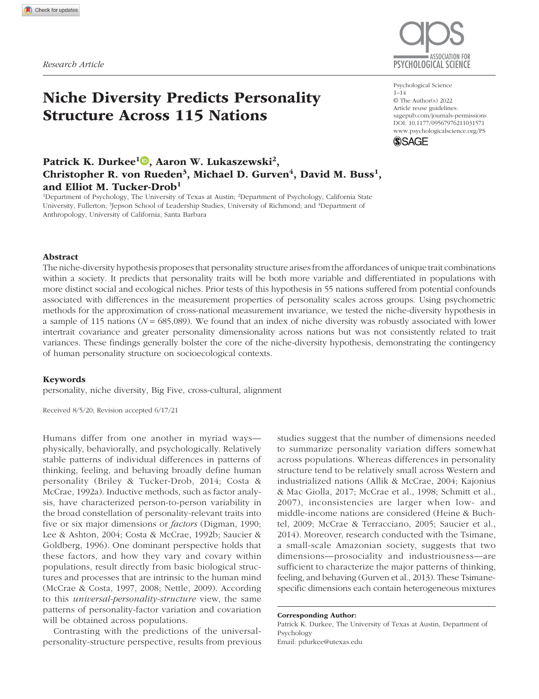

Fig. 2. Intercorrelations among nation-level niche-diversity estimates and nation-level covariates. The personality controls labeled for each Big Five factor (Agreeableness, Conscientiousness, Extraversion, Emotional Stability, and Openness) refer to the alignment-estimated latent-factor means for each nation. Nation-level acquiescence was calculated as the mean acquiescence score across participants within each nation. Sample size and homicide rate were log-transformed. The size of each oval indicates the magnitude of the association (thinner = stronger, thicker = weaker), and the direction of the oval's tilt indicates the direction of the association (right tilt = positive, left tilt = negative). HDI = Human Development Index.

Big Five latent-factor means. We included the latent nation means for each of the Big Five factors estimated by the alignment-parameter estimates to control for any nation-level differences in personality trait levels that may influence responses to personality scales (e.g., evaluative bias; Lukaszewski et al., 2017), potentially biasing the nation-level trait covariance and variance estimates.

**English proficiency.** Because the personality survey was administered only in English, a selection bias exists where nations with lower English proficiency were selected against. Participants from nations with lower English proficiency have a higher potential to misunderstand the questions, creating bias. To assess whether English

proficiency could be driving any observed effects, we conducted a sensitivity analysis using only the nations in which English is an official language (either de facto or de jure official).

We also included nation-level estimates of English proficiency provided by Education First (2021) as a control in our robustness analyses. For nations where there were no English-proficiency data from the year 2015, we imputed the closest available preceding or succeeding estimate. English-proficiency data were completely unavailable for 27 nations, so we imputed either (a) the highest available English proficiency estimate for the 21 nations where proficiency data were missing but English is an official language or (b) the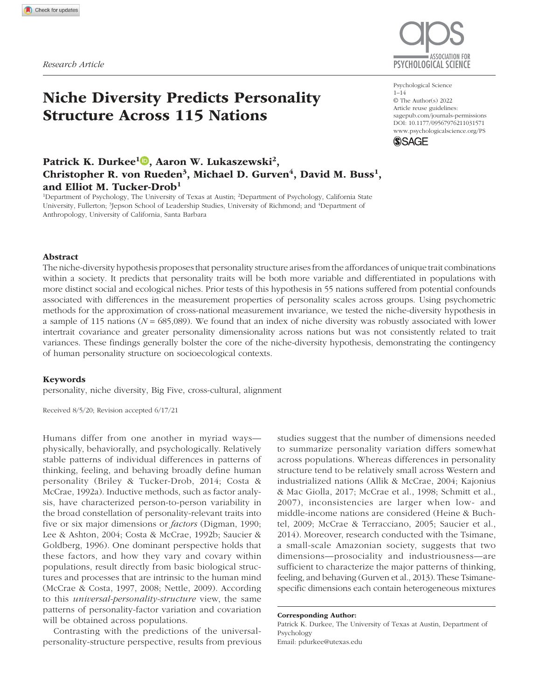mean English-proficiency estimate for six nations where English is not an official language and proficiency data were missing.

Sample size. Lukaszewski et al. (2017) included sample size as a control to demonstrate that the differences in accuracy of covariance estimates were not driving the relationship to niche diversity. Our metaregression analyses with inverse-variance weights already accounted for the influence of sample size on the covariance and variance estimates, and our measure of effective dimensionality also corrected for sample size bias. Still, we included sample size as a control variable in robustness analyses because the sample size contributed by each nation likely serves as a proxy for potentially unmeasured confounds related to differential selection. We log-transformed this sample-size variable because it was positively skewed.

Geographic region. We included dummy-coded variables representing the continent on which each nation is located to control for nonindependence of observations due to geospatial proximity.

#### **Results**

# Primary analyses

Across nations, the mean interfactor covariance estimate was .18 (*SD* = .02), the mean intrafactor variance estimate was .86 (*SD* = .03), and the mean effective-dimensionality estimate was 4.47 (*SD* = .32). Interfactor covariance estimates were positively correlated with intrafactor variance estimates  $(r = .52)$  and negatively correlated with effective-dimensionality estimates  $(r = -.78)$ . Effectivedimensionality estimates were negatively correlated with intrafactor variance estimates  $(r = -.35)$ .

Figure 3 shows the results of the primary metaregression analyses examining overall interfactor covariance, intrafactor variance, and effective dimensionality as a function of niche diversity.<sup>2</sup> Each standard-deviation increase in niche diversity was associated with .52 standard deviations lower covariance among the Big Five factors; in terms of raw units, each standard-deviation increase in niche diversity was associated with .02 lower interfactor covariance. The association between niche diversity and variance within the Big Five factors was not statistically different from zero. Finally, each standarddeviation increase in niche diversity was associated with a .53-standard-deviation increase in effective dimensionality, or in raw units, each standard-deviation increase in niche diversity was associated with an average of .13 more effective dimensions of personality. This pattern of results was obtained using each of the individual predictors of niche diversity as well (see Section 3.1 in the supplementary materials).

## Sensitivity checks

Because the use of absolute values of the covariance estimates in our analyses may have biased estimates, we also conducted analyses in which we did not force all estimates to take on positive values. We reversed the covariance estimates for pairs that were on average negative and left any negative estimates untouched for pairs where the mean covariance was positive. Thus, for any given pair of variables, covariances could take on both positive and negative values. Metaregression results were not appreciably different from the analyses using absolute values of the covariance estimates ( $β =$ −0.48, *p* = .001, 95% confidence interval [CI] = [−0.74, −0.21]). To disentangle any potential confounding effects of personality variance on personality covariance, we conducted analyses of interfactor correlations, rather than covariances, by scaling the interfactor covariances and their standard errors relative to their respective intrafactor variances. The association with niche diversity was slightly stronger than when using covariances  $(\beta = -0.69, p < .001, 95\% \text{ CI} = [-0.92, -0.46]).$ 

There was more variability in the residual interfactor covariance and effective-dimensionality estimates at low levels of niche diversity than at high levels. We therefore examined the focal relationships in only the 84 countries with niche-diversity scores greater than zero, for which the residuals were more homoscedastic. The negative interfactor covariance association ( $\beta$  = −0.41, *p* < .001, 95% CI = [−0.61, −0.21]) and the positive effective-dimensionality associations ( $β = 0.43, p < .001$ , 95% CI =  $[0.24, 0.61]$ ) were both robust to these sensitivity checks. Restricting our analyses to the 42 nations in the sample with English as an official language did not substantively change the associations between niche diversity and interfactor covariance (β =  $-0.41$ , *p* = .003, 95% CI = [−0.68, −0.14]), intrafactor variance (β = 0.01, *p* = .961, 95% CI = [−0.41, 0.43]), or effective dimensionality ( $\beta = 0.52$ ,  $p < .001$ , 95% CI = [0.24, 0.79]). Finally, in analyses including only the 90 nations that exhibited reasonable fit in confirmatory factor analyses (i.e., RMSEA < .08), the associations were qualitatively unchanged between niche diversity and interfactor covariances (β = −0.51, *p* < .001, 95% CI = [−0.69, −0.32]), intrafactor variances (β = 0.18, *p* = .100, 95% CI =  $[-0.03, 0.39]$ , and effective dimensionality ( $\beta$  = 0.43,  $p < .001$ , 95% CI = [0.29, 0.56]).

### Robustness analyses

We conducted secondary metaregression analyses to examine the robustness of the focal relationships to potential confounds. We added the sample size for each nation, nation-level estimates of acquiescence bias, alignment-estimated latent-factor means for each of the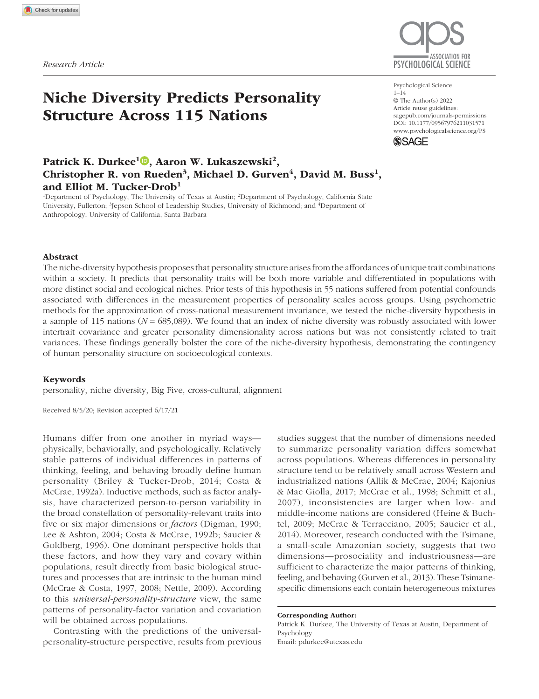

Fig. 3. Bubble plots depicting absolute overall interfactor covariance (top), overall intrafactor variance (middle), and effective dimensionality (bottom) of the Big Five traits across 115 nations as a function of the nations' standing on the niche-diversity index. Nations are grouped according to five geographic regions. The size of each bubble in the intrafactor variance and interfactor covariance plots is proportional to the inverse-sampling variance weight given to the estimates for each country; larger circles indicate greater weight in the analysis as a result of smaller standard errors and less sampling variance. Lines show best-fitting regressions (solid lines indicate significant regressions; the dashed line indicates a nonsignificant regression), and error bands show 95% confidence intervals. CI = confidence interval.

Big Five traits for each nation (i.e., evaluative bias), English proficiency, homicide rate, mortality rate, and dummy codes representing the macrogeographic regions as controls for geospatial dependence to the primary models. Figure 4 shows the results of the robustness tests, and we provide tabular output with exact *p* values for all parameters in the supplementary materials (Section 3.1).

As shown in Figure 4, when all controls were included as predictors, niche diversity was still negatively associated with Big Five interfactor covariances ( $\beta = -0.52$ , *p* < .001, 95% CI = [−0.75, −0.28]) and positively associated with effective dimensionality ( $β = 0.41, p < .001, 95%$  CI = [0.20, 0.62]). The association between niche diversity and intrafactor variance became negative with the inclusion of controls but remained nonsignificant (β = −0.25, *p* = .095, 95% CI = [−0.55, 0.04]). Nation-level acquiescence bias and Conscientiousness were significantly negatively associated with interfactor covariances and significantly positively associated with effective dimensionality across nations (for effect sizes and CIs, see Fig. 4). Nation-level Extraversion was also significantly negatively associated with effective dimensionality and significantly positively associated with interfactor covariance (for effect sizes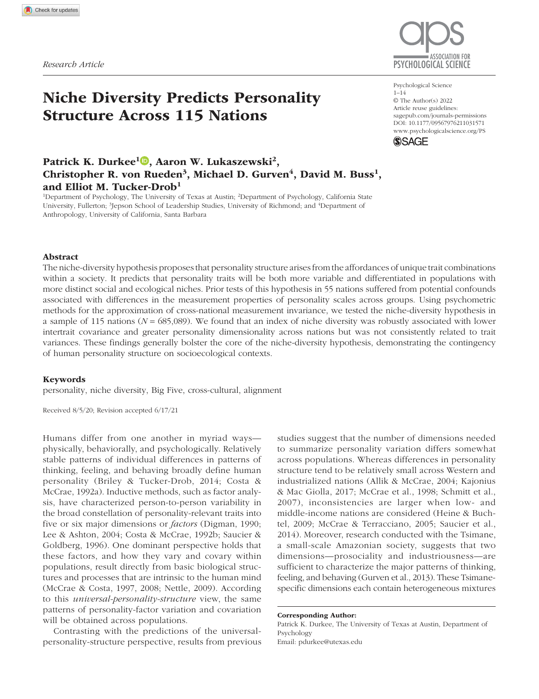

Fig. 4. Point estimates for focal associations with overall absolute interfactor covariance (left column), overall intrafactor variance (middle column), and effective dimensionality (right column) after including controls, along with point estimates for the nation-level control variables. The reference group for the continent dummy variable is Europe. The personality controls labeled for each Big Five factor refer to the alignment-estimated latent-factor means for each nation. Sample size and homicide rate were log-transformed. Error bars represent 95% confidence intervals.

and CIs, see Fig. 4). Intrafactor variance across nations was significantly positively associated with nations' sample size and average Openness and significantly negatively related to nations' acquiescence bias (for effect sizes and CIs, see Fig. 4). We also examined the effects of the different sets of control variables by conducting separate analyses, entering the controls in a stepwise manner; these results are provided in the supplementary materials (Section 3.1).

# Exploratory analyses of pairwise covariance and individual variances

Figure 5 shows the associations (with and without controls) between niche diversity and each of the 10 pairwise absolute covariance estimates (left panel) and each individual intrafactor variance estimate (right panel). One of the 10 pairs of Big Five interfactor covariances was significantly associated with niche diversity in the same direction in both the controlled and uncontrolled analyses after correction for false-discovery rate: Conscientiousness with Extraversion (*p*s < .008). No other

pairwise factor covariances were significantly associated with niche diversity in the same direction both with and without controls. None of the associations between niche diversity and individual Big Five intrafactor variances were statistically significant and in the same direction in analyses with and without controls.

## **Discussion**

The niche-diversity hypothesis proposes that personality structure is a function of the number of socioecological niches within a population (Lukaszewski et al., 2017; Smaldino et al., 2019). It predicts that increasing niche diversity is associated with (a) lower personality trait covariance, (b) greater personality trait variance, and (c) greater personality dimensionality. We improved on the only prior empirical test of this hypothesis by more than doubling the number of nations under investigation and implementing methods to alleviate confounds associated with differences in the psychometric properties of personality scales across nations. In a sample of 685,089 individuals across 115 nations, we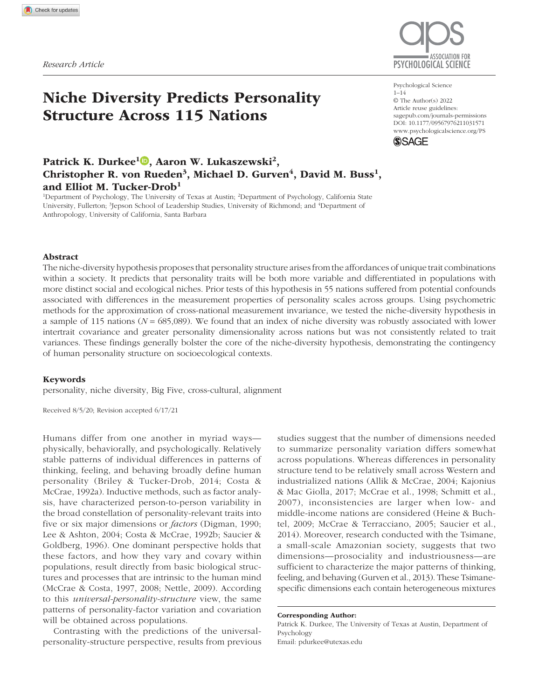

Fig. 5. Point estimates for the associations between niche diversity and the absolute interfactor covariances among all possible pairs of Big Five traits (left) and each of the individual Big Five intrafactor variances (right). Results are shown separately for models including and not including the 11 control variables. Error bars represent 95% confidence intervals. A = Agreeableness; C = Conscientiousness; E = Extraversion; ES = Emotional Stability; O = Openness.

found robust evidence for the first and third predictions but little overall support for the second.

As predicted, we found that personality traits were less distinct in nations with lower niche diversity. Not only was this association obtained using a psychometric method to minimize artifacts associated with measurement inequivalence across nations, but the association remained after models statistically controlled for several potential confounds. Importantly, niche diversity explained variation in personality structure in the presence of environmental-harshness indicators, which casts doubt on an alternative explanation proposed by Mededović (2020) that population differences in personality structure may be accounted for by the effects of environmental harshness on behavioral diversification along the life-history spectrum.

We did not find robust support for the modelpredicted relationship between niche diversity and overall trait variance. This association was not statistically significant and reversed when models controlled for potential confounds. This finding indicates that the association between trait variance and niche diversity within human populations may not be as straightforward as prior simulations and data suggested (Smaldino et al., 2019) and reveals where further refinement of the model may be fruitful. Specifically, niche diversity may not inevitably lead to greater trait variance if many niches within and between populations tend to incentivize similar levels of traits when they are incentivized at all. If this were the case, the diversity of niche-incentivized trait *combinations* could still vary across populations, leading to higher personality dimensionality and less overall covariance among traits, as we found.

One limitation of this study is that the personality survey was administered only in English via the Internet. This enabled us to use identical personality measures across all participants and nations, avoiding confounds associated with translation. It does mean, however, that many of the participants responded to a survey in their nonnative language and that individuals who were not English literate were unable to participate. To guard against this potential language confound, our metaregression models adjusted for variation in acquiescent responding across nations and variation in national estimates of English proficiency. Importantly, selection bias associated with both English literacy and Internet access may render our results more conservative if participants tended to come from more urban, niche-diverse regions of their countries. Nonetheless, personality assessments administered in participants' preferred languages, allowing more representative sampling, will be necessary to fully assess the generalizability of these effects.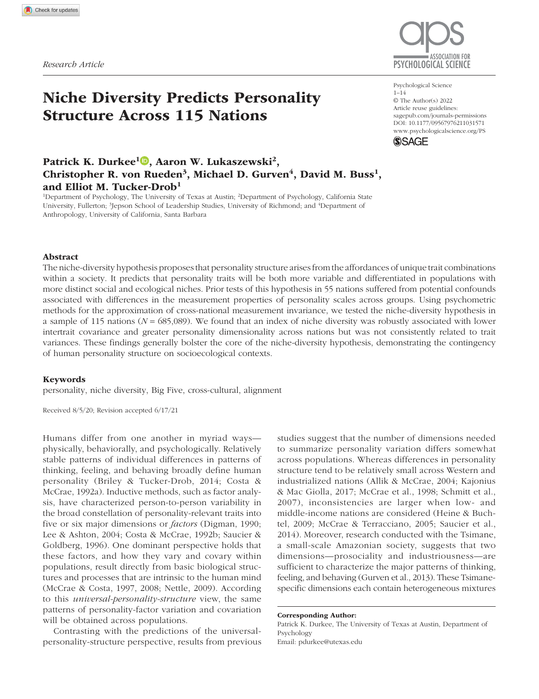Another limitation is that our data lack demographic information about participants. Prior research suggests that the factor structure of personality may vary with age (Beck et al., 2019; Mõttus et al., 2019; Soto et al., 2008). If the age distribution of participants within each nation systematically varied with niche diversity, then the results presented here could be confounded with age trends in the personality structure. Although we do not have a strong reason to suspect such confounding, the lack of demographic data prevents us from exploring this issue here. However, the niche-diversity hypothesis may partly explain age trends in personality structure. For instance, observed age differences in personality structure among U.S. participants (Beck et al., 2019) appear to track trends of workforce participation and thereby occupational-niche diversification. Examining the extent to which age-related differences in personality structure coincide with age differences in niche diversity is an interesting future direction.

Finally, our analysis of personality structure relied on the Big Five factor structure even though the nichediversity hypothesis explicitly assumes that the structure of personality varies across cultures. Because it was not possible to combine the alignment with ESEM approaches, we chose alignment to prioritize maximizing the comparability of personality traits across countries. To quote Cronbach and Meehl (1955), we used the simple five-factor model as a tool for "defining a working reference frame, located in a convenient manner" rather than to discern "'real dimensions' [in which] a great deal of surplus meaning is implied" (pp. 288 and 287, respectively). Research investigating the degree to which complex factor solutions and other personality frameworks yield different patterns of association with niche diversity may yield additional insights into cultural variation in personality structure.

The niche-diversity hypothesis was partly motivated by recognizing that personality science could benefit from model building from first principles (Lukaszewski et al., 2020). Our findings provide the strongest support to date for the central empirical predictions generated by the niche-diversity hypothesis, demonstrating the contingency of personality structure on socioecological dynamics. Further considerations of the socioecological factors that vary within and between human societies will be crucial for refining our understanding of the nature of personality and psychological variation more generally.

#### **Transparency**

*Action Editor:* Steven W. Gangestad *Editor:* Patricia J. Bauer *Author Contributions*

P. K. Durkee identified the data source. P. K. Durkee developed the analysis plan with E. M. Tucker-Drob and conducted the analyses under the supervision of E. M. Tucker-Drob. P. K. Durkee drafted the manuscript, and E. M. Tucker-Drob, A. W. Lukaszewski, C. R. von Rueden, M. D. Gurven, and D. M. Buss contributed critical revisions. All the authors approved the final manuscript for submission.

*Declaration of Conflicting Interests*

The author(s) declared that there were no conflicts of interest with respect to the authorship or the publication of this article.

*Open Practices*

All data, code used to conduct the analyses and create the figures, and supplementary materials have been made publicly available via OSF and can be accessed at https://osf .io/7n4sr/. The design and analysis plans for the study were not preregistered.

#### ORCID iD

Patrick K. Durkee D https://orcid.org/0000-0001-6159-4277

#### Acknowledgments

We thank Courtney Crosby, Anna Sedlacek, Steven Gangestad, William Revelle, and an anonymous reviewer for their constructive feedback on this article.

#### **Notes**

1. We note that an earlier version of this article fixed Albania on the basis of the *Mplus* default settings that fix the first group in the data frame. Importantly, the same pattern of results was obtained in the current version as in this earlier version, which is still publicly available (https://doi.org/10.31234/osf.io/93qmp). 2. For readers interested in attempting to disentangle the degree to which differences between the current results and the results of previous research reflect the different statistical approach as opposed to the increased sample size, we report results of additional comparative analyses that rely on covariance and variance estimates across simple factor-mean scores, rather than alignment-based factor estimates, in Section 3.2 of the supplementary materials (see https://osf.io/7n4sr/). To briefly summarize, interfactor covariance and effective dimensionality were both slightly more strongly associated with niche diversity under the alignment-based approach than the factormean-score approach. However, the association between niche diversity and intrafactor variance was slightly weaker under the alignment-based approach than the mean-score approach (but not robust against controls in either approach). The supplementary materials also present an examination of the focal relationships based on item-level correlations that found the same trends reported in our primary analyses (Section 3.4).

#### References

Allik, J., & McCrae, R. R. (2004). Toward a geography of personality traits: Patterns of profiles across 36 cultures. *Journal of Cross-Cultural Psychology*, *35*(1), 13–28.

Asparouhov, T., & Muthén, B. (2014). Multiple-group factor analysis alignment. *Structural Equation Modeling: A Multidisciplinary Journal*, *21*(4), 495–508.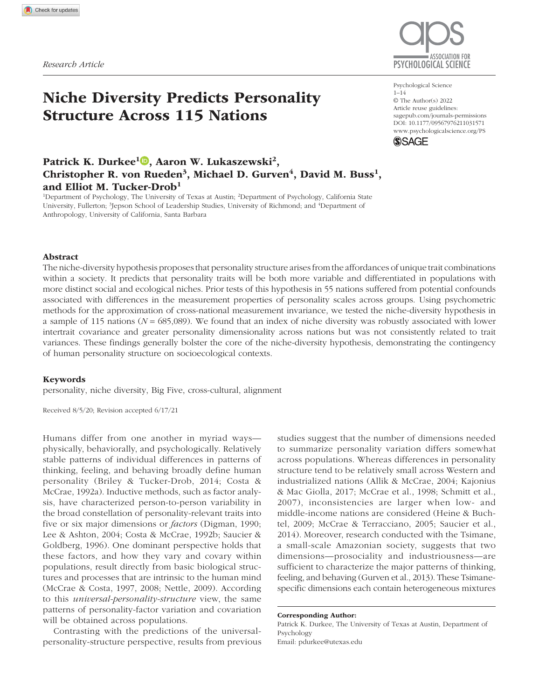- Beck, E. D., Condon, D. M., & Jackson, J. J. (2019, July 9). *Interindividual age differences in personality structure*. PsyArXiv. https://doi.org/10.31234/osf.io/857ev
- Briley, D. A., & Tucker-Drob, E. M. (2014). Genetic and environmental continuity in personality development: A metaanalysis. *Psychological Bulletin*, *140*(5), 1303–1331.
- Briley, D. A., & Tucker-Drob, E. M. (2017). Comparing the developmental genetics of cognition and personality over the life span. *Journal of Personality*, *85*(1), 51–64.
- Byrne, B. M., Shavelson, R. J., & Muthén, B. (1989). Testing for the equivalence of factor covariance and mean structures: The issue of partial measurement invariance. *Psychological Bulletin*, *105*(3), 456–466.
- Chen, Y., Culpepper, S., & Liang, F. (2020). A sparse latent class model for cognitive diagnosis. *Psychometrika*, *85*(1), 121–153.
- Church, A. T., Alvarez, J. M., Mai, N. T., French, B. F., Katigbak, M. S., & Ortiz, F. A. (2011). Are cross-cultural comparisons of personality profiles meaningful? Differential item and facet functioning in the Revised NEO Personality Inventory. *Journal of Personality and Social Psychology*, *101*(5), 1068–1089.
- Costa, P. T., Jr., & McCrae, R. R. (1992a). The five-factor model of personality and its relevance to personality disorders. *Journal of Personality Disorders*, *6*(4), 343–359.
- Costa, P. T., Jr., & McCrae, R. R. (1992b). Four ways five factors are basic. *Personality and Individual Differences*, *13*(6), 653–665.
- Cronbach, L. J., & Meehl, P. E. (1955). Construct validity in psychological tests. *Psychological Bulletin*, *52*(4), 281– 302.
- Del Giudice, M. (2021). Effective dimensionality: A tutorial. *Multivariate Behavioral Research*, *56*(3), 527–542. https:// doi.org/10.1080/00273171.2020.1743631
- Denissen, J. J. A., Bleidorn, W., Hennecke, M., Luhmann, M., Orth, U., Specht, J., & Zimmermann, J. (2018). Uncovering the power of personality to shape income. *Psychological Science*, *29*(1), 3–13.
- Digman, J. M. (1990). Personality structure: Emergence of the five-factor model. *Annual Review of Psychology*, *41*(1), 417–440.
- Digman, J. M. (1997). Higher-order factors of the Big Five. *Journal of Personality and Social Psychology*, *73*(6), 1246– 1256.
- Dray, S., & Dufour, A.-B. (2007). The ade4 package: Implementing the duality diagram for ecologists. *Journal of Statistical Software*, *22*(4). https://doi.org/10.18637/jss.v022 .i04
- Education First. (2021). *EF English proficiency: Index downloads*. https://www.ef.edu/epi/downloads/
- Ehrhart, K. H., Roesch, S. C., Ehrhart, M. G., & Kilian, B. (2008). A test of the factor structure equivalence of the 50-item IPIP five-factor model measure across gender and ethnic groups. *Journal of Personality Assessment*, *90*(5), 507–516.
- Gibbs, J. P., & Martin, W. T. (1962). Urbanization, technology, and the division of labor: International patterns. *American Sociological Review*, *27*, 667–677.
- Goldberg, L. R. (1992). The development of markers for the Big-Five factor structure. *Psychological Assessment*, *4*(1), 26–42.
- Gurven, M., von Rueden, C., Massenkoff, M., Kaplan, H., & Lero Vie, M. (2013). How universal is the Big Five? Testing the five-factor model of personality variation among forager–farmers in the Bolivian Amazon. *Journal of Personality and Social Psychology*, *104*(2), 354–370.
- Hausmann, R., Hidalgo, C. A., Bustos, S., Coscia, M., & Simoes, A. (2014). *The atlas of economic complexity: Mapping paths to prosperity*. MIT Press.
- Heine, S. J., & Buchtel, E. E. (2009). Personality: The universal and the culturally specific. *Annual Review of Psychology*, *60*, 369–394.
- Henrich, J. (2015). Culture and social behavior. *Current Opinion in Behavioral Sciences*, *3*, 84–89.
- Henrich, J., & Boyd, R. (2008). Division of labor, economic specialization, and the evolution of social stratification. *Current Anthropology*, *49*(4), 715–724.
- Hidalgo, C. A., & Hausmann, R. (2009). The building blocks of economic complexity. *Proceedings of the National Academy of Sciences, USA*, *106*(26), 10570–10575.
- Hirschfeld, G., von Brachel, R., & Thielsch, M. (2014). Selecting items for Big Five questionnaires: At what sample size do factor loadings stabilize? *Journal of Research in Personality*, *53*, 54–63.
- Kaiser, T., Del Giudice, M., & Booth, T. (2020). Global sex differences in personality: Replication with an open online dataset. *Journal of Personality*, *88*(3), 415–429.
- Kajonius, P., & Mac Giolla, E. (2017). Personality traits across countries: Support for similarities rather than differences. *PLOS ONE*, *12*(6), Article e0179646. https://doi .org/10.1371/journal.pone.0179646
- Kaplan, H. S., Hooper, P. L., & Gurven, M. (2009). The evolutionary and ecological roots of human social organization. *Philosophical Transactions of the Royal Society B: Biological Sciences*, *364*(1533), 3289–3299.
- Lee, K., & Ashton, M. C. (2004). Psychometric properties of the HEXACO personality inventory. *Multivariate Behavioral Research*, *39*(2), 329–358.
- Legare, C. H. (2017). Cumulative cultural learning: Development and diversity. *Proceedings of the National Academy of Sciences, USA*, *114*(30), 7877–7883.
- Lim, B. C., & Ployhart, R. E. (2006). Assessing the convergent and discriminant validity of Goldberg's International Personality Item Pool: A multitrait-multimethod examination. *Organizational Research Methods*, *9*, 29–54.
- Lukaszewski, A. W., Gurven, M., von Rueden, C. R., & Schmitt, D. P. (2017). What explains personality covariation? A test of the socioecological complexity hypothesis. *Social Psychological and Personality Science*, *8*(8), 943–952.
- Lukaszewski, A. W., Lewis, D. M., Durkee, P. K., Sell, A. N., Sznycer, D., & Buss, D. M. (2020). An adaptationist framework for personality science. *European Journal of Personality*, *34*(6), 1151–1174.
- Marsh, H. W., Guo, J., Parker, P. D., Nagengast, B., Asparouhov, T., Muthén, B., & Dicke, T. (2018). What to do when scalar invariance fails: The extended alignment